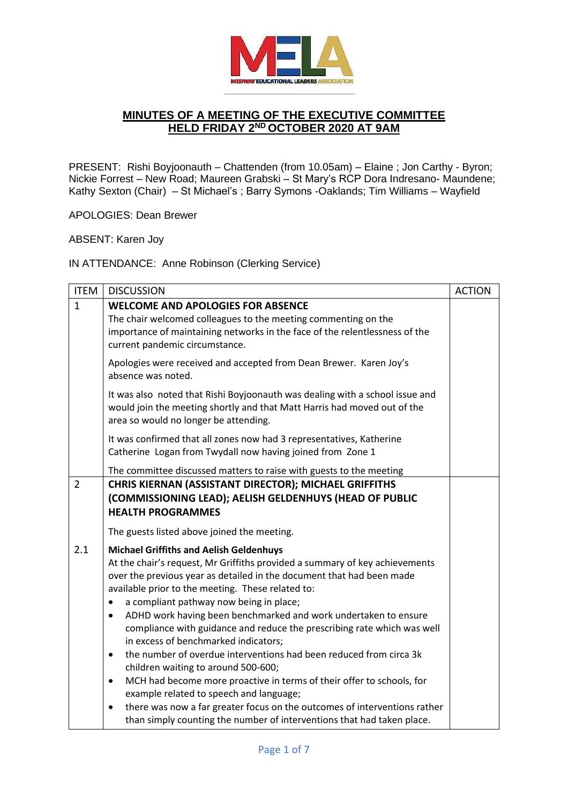

## **MINUTES OF A MEETING OF THE EXECUTIVE COMMITTEE HELD FRIDAY 2 ND OCTOBER 2020 AT 9AM**

PRESENT: Rishi Boyjoonauth – Chattenden (from 10.05am) – Elaine ; Jon Carthy - Byron; Nickie Forrest – New Road; Maureen Grabski – St Mary's RCP Dora Indresano- Maundene; Kathy Sexton (Chair) – St Michael's ; Barry Symons -Oaklands; Tim Williams – Wayfield

APOLOGIES: Dean Brewer

ABSENT: Karen Joy

IN ATTENDANCE: Anne Robinson (Clerking Service)

| <b>ITEM</b>    | <b>DISCUSSION</b>                                                                                                                                                                                                                                                                                           | <b>ACTION</b> |
|----------------|-------------------------------------------------------------------------------------------------------------------------------------------------------------------------------------------------------------------------------------------------------------------------------------------------------------|---------------|
| $\mathbf{1}$   | <b>WELCOME AND APOLOGIES FOR ABSENCE</b><br>The chair welcomed colleagues to the meeting commenting on the<br>importance of maintaining networks in the face of the relentlessness of the                                                                                                                   |               |
|                | current pandemic circumstance.                                                                                                                                                                                                                                                                              |               |
|                | Apologies were received and accepted from Dean Brewer. Karen Joy's<br>absence was noted.                                                                                                                                                                                                                    |               |
|                | It was also noted that Rishi Boyjoonauth was dealing with a school issue and<br>would join the meeting shortly and that Matt Harris had moved out of the<br>area so would no longer be attending.                                                                                                           |               |
|                | It was confirmed that all zones now had 3 representatives, Katherine<br>Catherine Logan from Twydall now having joined from Zone 1                                                                                                                                                                          |               |
|                | The committee discussed matters to raise with guests to the meeting                                                                                                                                                                                                                                         |               |
| $\overline{2}$ | CHRIS KIERNAN (ASSISTANT DIRECTOR); MICHAEL GRIFFITHS                                                                                                                                                                                                                                                       |               |
|                | (COMMISSIONING LEAD); AELISH GELDENHUYS (HEAD OF PUBLIC                                                                                                                                                                                                                                                     |               |
|                | <b>HEALTH PROGRAMMES</b>                                                                                                                                                                                                                                                                                    |               |
|                | The guests listed above joined the meeting.                                                                                                                                                                                                                                                                 |               |
| 2.1            | <b>Michael Griffiths and Aelish Geldenhuys</b><br>At the chair's request, Mr Griffiths provided a summary of key achievements<br>over the previous year as detailed in the document that had been made<br>available prior to the meeting. These related to:<br>a compliant pathway now being in place;<br>٠ |               |
|                | ADHD work having been benchmarked and work undertaken to ensure<br>$\bullet$<br>compliance with guidance and reduce the prescribing rate which was well<br>in excess of benchmarked indicators;                                                                                                             |               |
|                | the number of overdue interventions had been reduced from circa 3k<br>$\bullet$<br>children waiting to around 500-600;                                                                                                                                                                                      |               |
|                | MCH had become more proactive in terms of their offer to schools, for<br>$\bullet$<br>example related to speech and language;                                                                                                                                                                               |               |
|                | there was now a far greater focus on the outcomes of interventions rather<br>$\bullet$<br>than simply counting the number of interventions that had taken place.                                                                                                                                            |               |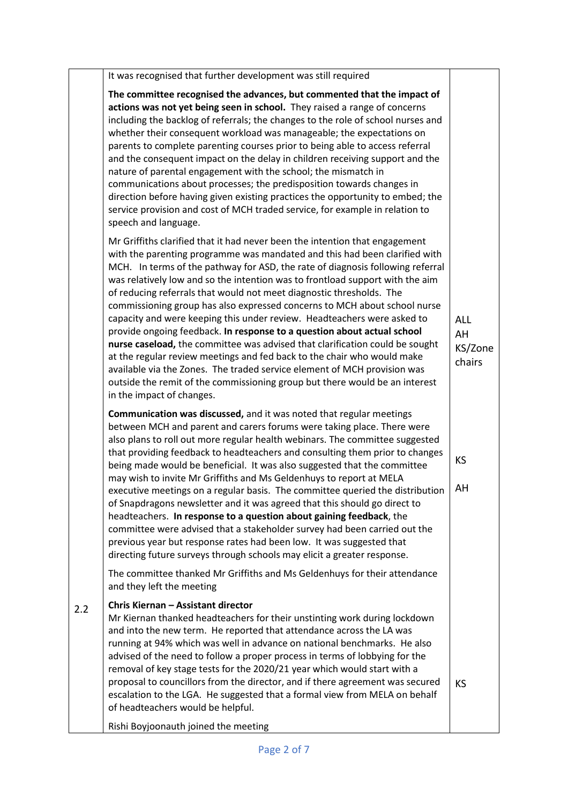| The committee recognised the advances, but commented that the impact of<br>actions was not yet being seen in school. They raised a range of concerns<br>including the backlog of referrals; the changes to the role of school nurses and<br>whether their consequent workload was manageable; the expectations on                                                                                                                                                                                                                                                                                                                                                                                                                                                                                                                                                                                                                                                                          |                                       |
|--------------------------------------------------------------------------------------------------------------------------------------------------------------------------------------------------------------------------------------------------------------------------------------------------------------------------------------------------------------------------------------------------------------------------------------------------------------------------------------------------------------------------------------------------------------------------------------------------------------------------------------------------------------------------------------------------------------------------------------------------------------------------------------------------------------------------------------------------------------------------------------------------------------------------------------------------------------------------------------------|---------------------------------------|
| parents to complete parenting courses prior to being able to access referral<br>and the consequent impact on the delay in children receiving support and the<br>nature of parental engagement with the school; the mismatch in<br>communications about processes; the predisposition towards changes in<br>direction before having given existing practices the opportunity to embed; the<br>service provision and cost of MCH traded service, for example in relation to<br>speech and language.                                                                                                                                                                                                                                                                                                                                                                                                                                                                                          |                                       |
| Mr Griffiths clarified that it had never been the intention that engagement<br>with the parenting programme was mandated and this had been clarified with<br>MCH. In terms of the pathway for ASD, the rate of diagnosis following referral<br>was relatively low and so the intention was to frontload support with the aim<br>of reducing referrals that would not meet diagnostic thresholds. The<br>commissioning group has also expressed concerns to MCH about school nurse<br>capacity and were keeping this under review. Headteachers were asked to<br>provide ongoing feedback. In response to a question about actual school<br>nurse caseload, the committee was advised that clarification could be sought<br>at the regular review meetings and fed back to the chair who would make<br>available via the Zones. The traded service element of MCH provision was<br>outside the remit of the commissioning group but there would be an interest<br>in the impact of changes. | <b>ALL</b><br>AH<br>KS/Zone<br>chairs |
| Communication was discussed, and it was noted that regular meetings<br>between MCH and parent and carers forums were taking place. There were<br>also plans to roll out more regular health webinars. The committee suggested<br>that providing feedback to headteachers and consulting them prior to changes<br>being made would be beneficial. It was also suggested that the committee<br>may wish to invite Mr Griffiths and Ms Geldenhuys to report at MELA<br>executive meetings on a regular basis. The committee queried the distribution $\vert$ AH<br>of Snapdragons newsletter and it was agreed that this should go direct to<br>headteachers. In response to a question about gaining feedback, the<br>committee were advised that a stakeholder survey had been carried out the<br>previous year but response rates had been low. It was suggested that<br>directing future surveys through schools may elicit a greater response.                                           | KS                                    |
| The committee thanked Mr Griffiths and Ms Geldenhuys for their attendance<br>and they left the meeting                                                                                                                                                                                                                                                                                                                                                                                                                                                                                                                                                                                                                                                                                                                                                                                                                                                                                     |                                       |
| Chris Kiernan - Assistant director<br>Mr Kiernan thanked headteachers for their unstinting work during lockdown<br>and into the new term. He reported that attendance across the LA was<br>running at 94% which was well in advance on national benchmarks. He also<br>advised of the need to follow a proper process in terms of lobbying for the<br>removal of key stage tests for the 2020/21 year which would start with a<br>proposal to councillors from the director, and if there agreement was secured<br>escalation to the LGA. He suggested that a formal view from MELA on behalf<br>of headteachers would be helpful.                                                                                                                                                                                                                                                                                                                                                         | <b>KS</b>                             |
|                                                                                                                                                                                                                                                                                                                                                                                                                                                                                                                                                                                                                                                                                                                                                                                                                                                                                                                                                                                            | Rishi Boyjoonauth joined the meeting  |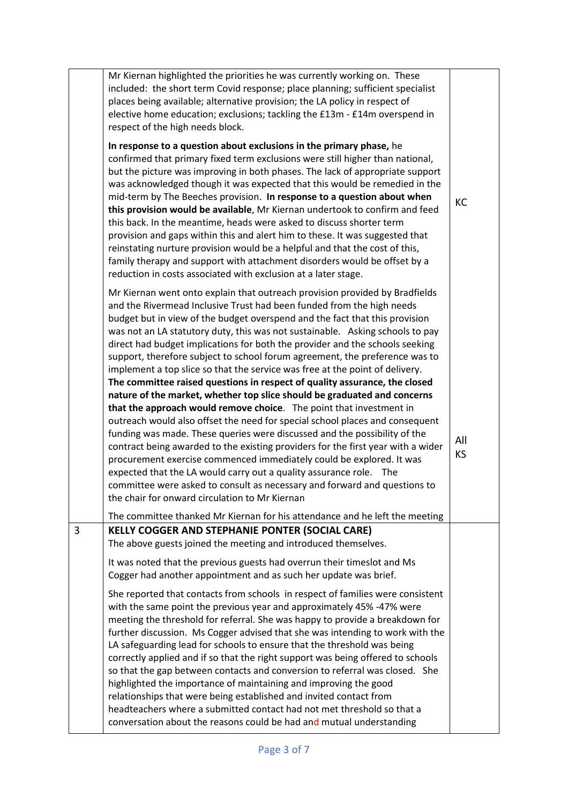|   | Mr Kiernan highlighted the priorities he was currently working on. These<br>included: the short term Covid response; place planning; sufficient specialist<br>places being available; alternative provision; the LA policy in respect of<br>elective home education; exclusions; tackling the £13m - £14m overspend in<br>respect of the high needs block.                                                                                                                                                                                                                                                                                                                                                                                                                                                                                                                                                                                                                                                                                                                                                                                                                                                                                                                                                                         |                  |
|---|------------------------------------------------------------------------------------------------------------------------------------------------------------------------------------------------------------------------------------------------------------------------------------------------------------------------------------------------------------------------------------------------------------------------------------------------------------------------------------------------------------------------------------------------------------------------------------------------------------------------------------------------------------------------------------------------------------------------------------------------------------------------------------------------------------------------------------------------------------------------------------------------------------------------------------------------------------------------------------------------------------------------------------------------------------------------------------------------------------------------------------------------------------------------------------------------------------------------------------------------------------------------------------------------------------------------------------|------------------|
|   | In response to a question about exclusions in the primary phase, he<br>confirmed that primary fixed term exclusions were still higher than national,<br>but the picture was improving in both phases. The lack of appropriate support<br>was acknowledged though it was expected that this would be remedied in the<br>mid-term by The Beeches provision. In response to a question about when<br>this provision would be available, Mr Kiernan undertook to confirm and feed<br>this back. In the meantime, heads were asked to discuss shorter term<br>provision and gaps within this and alert him to these. It was suggested that<br>reinstating nurture provision would be a helpful and that the cost of this,<br>family therapy and support with attachment disorders would be offset by a<br>reduction in costs associated with exclusion at a later stage.                                                                                                                                                                                                                                                                                                                                                                                                                                                                | KC               |
|   | Mr Kiernan went onto explain that outreach provision provided by Bradfields<br>and the Rivermead Inclusive Trust had been funded from the high needs<br>budget but in view of the budget overspend and the fact that this provision<br>was not an LA statutory duty, this was not sustainable. Asking schools to pay<br>direct had budget implications for both the provider and the schools seeking<br>support, therefore subject to school forum agreement, the preference was to<br>implement a top slice so that the service was free at the point of delivery.<br>The committee raised questions in respect of quality assurance, the closed<br>nature of the market, whether top slice should be graduated and concerns<br>that the approach would remove choice. The point that investment in<br>outreach would also offset the need for special school places and consequent<br>funding was made. These queries were discussed and the possibility of the<br>contract being awarded to the existing providers for the first year with a wider<br>procurement exercise commenced immediately could be explored. It was<br>expected that the LA would carry out a quality assurance role. The<br>committee were asked to consult as necessary and forward and questions to<br>the chair for onward circulation to Mr Kiernan | All<br><b>KS</b> |
| 3 | The committee thanked Mr Kiernan for his attendance and he left the meeting<br><b>KELLY COGGER AND STEPHANIE PONTER (SOCIAL CARE)</b><br>The above guests joined the meeting and introduced themselves.<br>It was noted that the previous guests had overrun their timeslot and Ms<br>Cogger had another appointment and as such her update was brief.                                                                                                                                                                                                                                                                                                                                                                                                                                                                                                                                                                                                                                                                                                                                                                                                                                                                                                                                                                             |                  |
|   | She reported that contacts from schools in respect of families were consistent<br>with the same point the previous year and approximately 45% -47% were<br>meeting the threshold for referral. She was happy to provide a breakdown for<br>further discussion. Ms Cogger advised that she was intending to work with the<br>LA safeguarding lead for schools to ensure that the threshold was being<br>correctly applied and if so that the right support was being offered to schools<br>so that the gap between contacts and conversion to referral was closed. She<br>highlighted the importance of maintaining and improving the good<br>relationships that were being established and invited contact from<br>headteachers where a submitted contact had not met threshold so that a<br>conversation about the reasons could be had and mutual understanding                                                                                                                                                                                                                                                                                                                                                                                                                                                                  |                  |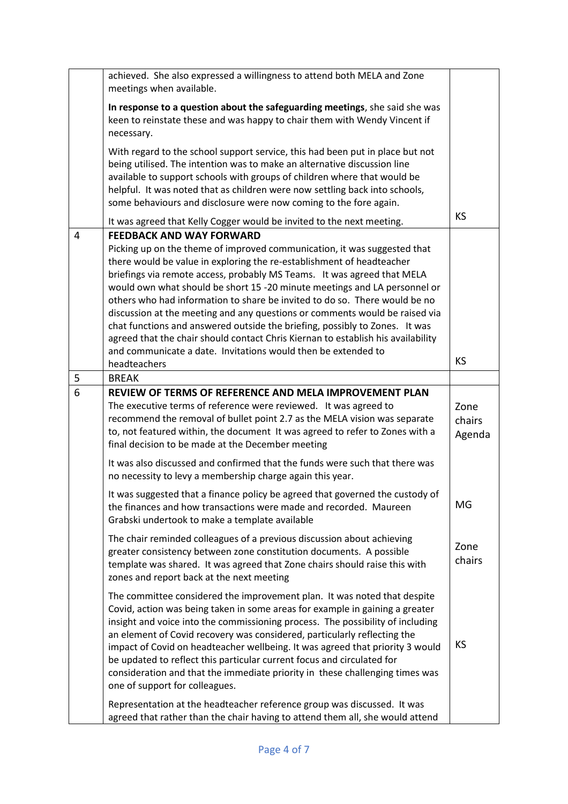|   | achieved. She also expressed a willingness to attend both MELA and Zone<br>meetings when available.                                                                                                                                                                                                                                                                                                                                                                                                                                                                                                                                                                                                                                           |                          |
|---|-----------------------------------------------------------------------------------------------------------------------------------------------------------------------------------------------------------------------------------------------------------------------------------------------------------------------------------------------------------------------------------------------------------------------------------------------------------------------------------------------------------------------------------------------------------------------------------------------------------------------------------------------------------------------------------------------------------------------------------------------|--------------------------|
|   | In response to a question about the safeguarding meetings, she said she was<br>keen to reinstate these and was happy to chair them with Wendy Vincent if<br>necessary.                                                                                                                                                                                                                                                                                                                                                                                                                                                                                                                                                                        |                          |
|   | With regard to the school support service, this had been put in place but not<br>being utilised. The intention was to make an alternative discussion line<br>available to support schools with groups of children where that would be<br>helpful. It was noted that as children were now settling back into schools,<br>some behaviours and disclosure were now coming to the fore again.                                                                                                                                                                                                                                                                                                                                                     |                          |
|   | It was agreed that Kelly Cogger would be invited to the next meeting.                                                                                                                                                                                                                                                                                                                                                                                                                                                                                                                                                                                                                                                                         | <b>KS</b>                |
| 4 | <b>FEEDBACK AND WAY FORWARD</b><br>Picking up on the theme of improved communication, it was suggested that<br>there would be value in exploring the re-establishment of headteacher<br>briefings via remote access, probably MS Teams. It was agreed that MELA<br>would own what should be short 15 -20 minute meetings and LA personnel or<br>others who had information to share be invited to do so. There would be no<br>discussion at the meeting and any questions or comments would be raised via<br>chat functions and answered outside the briefing, possibly to Zones. It was<br>agreed that the chair should contact Chris Kiernan to establish his availability<br>and communicate a date. Invitations would then be extended to |                          |
|   | headteachers                                                                                                                                                                                                                                                                                                                                                                                                                                                                                                                                                                                                                                                                                                                                  | <b>KS</b>                |
| 5 | <b>BREAK</b>                                                                                                                                                                                                                                                                                                                                                                                                                                                                                                                                                                                                                                                                                                                                  |                          |
| 6 | REVIEW OF TERMS OF REFERENCE AND MELA IMPROVEMENT PLAN<br>The executive terms of reference were reviewed. It was agreed to<br>recommend the removal of bullet point 2.7 as the MELA vision was separate<br>to, not featured within, the document It was agreed to refer to Zones with a<br>final decision to be made at the December meeting                                                                                                                                                                                                                                                                                                                                                                                                  | Zone<br>chairs<br>Agenda |
|   | It was also discussed and confirmed that the funds were such that there was<br>no necessity to levy a membership charge again this year.                                                                                                                                                                                                                                                                                                                                                                                                                                                                                                                                                                                                      |                          |
|   | It was suggested that a finance policy be agreed that governed the custody of<br>the finances and how transactions were made and recorded. Maureen<br>Grabski undertook to make a template available                                                                                                                                                                                                                                                                                                                                                                                                                                                                                                                                          | MG                       |
|   | The chair reminded colleagues of a previous discussion about achieving<br>greater consistency between zone constitution documents. A possible<br>template was shared. It was agreed that Zone chairs should raise this with<br>zones and report back at the next meeting                                                                                                                                                                                                                                                                                                                                                                                                                                                                      | Zone<br>chairs           |
|   | The committee considered the improvement plan. It was noted that despite<br>Covid, action was being taken in some areas for example in gaining a greater<br>insight and voice into the commissioning process. The possibility of including<br>an element of Covid recovery was considered, particularly reflecting the<br>impact of Covid on headteacher wellbeing. It was agreed that priority 3 would<br>be updated to reflect this particular current focus and circulated for<br>consideration and that the immediate priority in these challenging times was<br>one of support for colleagues.                                                                                                                                           | KS                       |
|   | Representation at the headteacher reference group was discussed. It was                                                                                                                                                                                                                                                                                                                                                                                                                                                                                                                                                                                                                                                                       |                          |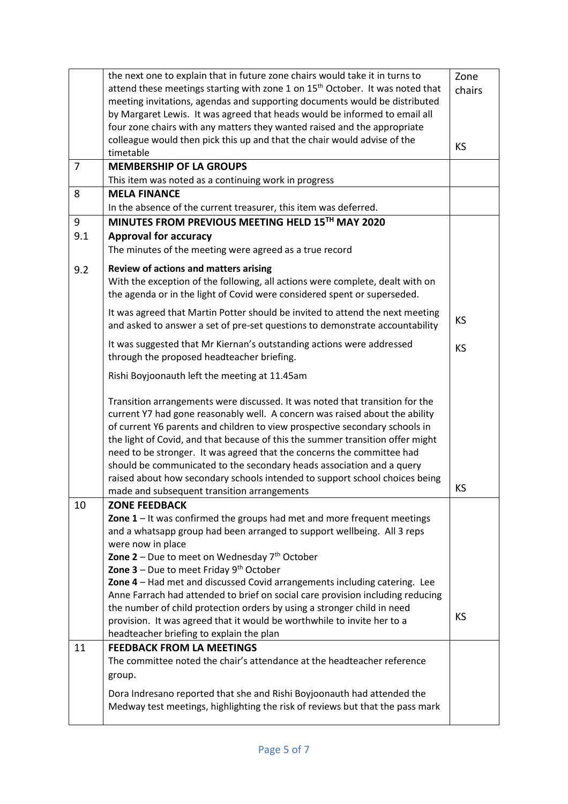|                                                                  | the next one to explain that in future zone chairs would take it in turns to                          | Zone      |
|------------------------------------------------------------------|-------------------------------------------------------------------------------------------------------|-----------|
|                                                                  | attend these meetings starting with zone 1 on 15 <sup>th</sup> October. It was noted that             | chairs    |
|                                                                  | meeting invitations, agendas and supporting documents would be distributed                            |           |
|                                                                  | by Margaret Lewis. It was agreed that heads would be informed to email all                            |           |
|                                                                  | four zone chairs with any matters they wanted raised and the appropriate                              |           |
|                                                                  | colleague would then pick this up and that the chair would advise of the                              | <b>KS</b> |
|                                                                  | timetable                                                                                             |           |
| $\overline{7}$                                                   | <b>MEMBERSHIP OF LA GROUPS</b>                                                                        |           |
|                                                                  | This item was noted as a continuing work in progress                                                  |           |
| 8                                                                | <b>MELA FINANCE</b>                                                                                   |           |
| In the absence of the current treasurer, this item was deferred. |                                                                                                       |           |
| 9                                                                | MINUTES FROM PREVIOUS MEETING HELD 15TH MAY 2020                                                      |           |
| 9.1                                                              | <b>Approval for accuracy</b>                                                                          |           |
|                                                                  | The minutes of the meeting were agreed as a true record                                               |           |
| 9.2                                                              | Review of actions and matters arising                                                                 |           |
|                                                                  | With the exception of the following, all actions were complete, dealt with on                         |           |
|                                                                  | the agenda or in the light of Covid were considered spent or superseded.                              |           |
|                                                                  | It was agreed that Martin Potter should be invited to attend the next meeting                         |           |
|                                                                  | and asked to answer a set of pre-set questions to demonstrate accountability                          | <b>KS</b> |
|                                                                  | It was suggested that Mr Kiernan's outstanding actions were addressed                                 |           |
|                                                                  | through the proposed headteacher briefing.                                                            | <b>KS</b> |
|                                                                  |                                                                                                       |           |
|                                                                  | Rishi Boyjoonauth left the meeting at 11.45am                                                         |           |
|                                                                  | Transition arrangements were discussed. It was noted that transition for the                          |           |
|                                                                  | current Y7 had gone reasonably well. A concern was raised about the ability                           |           |
|                                                                  | of current Y6 parents and children to view prospective secondary schools in                           |           |
|                                                                  | the light of Covid, and that because of this the summer transition offer might                        |           |
|                                                                  | need to be stronger. It was agreed that the concerns the committee had                                |           |
|                                                                  | should be communicated to the secondary heads association and a query                                 |           |
|                                                                  | raised about how secondary schools intended to support school choices being                           |           |
|                                                                  | made and subsequent transition arrangements                                                           | KS        |
| 10                                                               | <b>ZONE FEEDBACK</b>                                                                                  |           |
|                                                                  | Zone $1$ – It was confirmed the groups had met and more frequent meetings                             |           |
|                                                                  | and a whatsapp group had been arranged to support wellbeing. All 3 reps                               |           |
|                                                                  | were now in place                                                                                     |           |
|                                                                  | Zone $2$ – Due to meet on Wednesday $7th$ October<br><b>Zone 3</b> – Due to meet Friday $9th$ October |           |
|                                                                  | Zone 4 - Had met and discussed Covid arrangements including catering. Lee                             |           |
|                                                                  | Anne Farrach had attended to brief on social care provision including reducing                        |           |
|                                                                  | the number of child protection orders by using a stronger child in need                               |           |
|                                                                  | provision. It was agreed that it would be worthwhile to invite her to a                               | <b>KS</b> |
|                                                                  | headteacher briefing to explain the plan                                                              |           |
| 11                                                               | <b>FEEDBACK FROM LA MEETINGS</b>                                                                      |           |
|                                                                  | The committee noted the chair's attendance at the headteacher reference                               |           |
|                                                                  | group.                                                                                                |           |
|                                                                  |                                                                                                       |           |
|                                                                  | Dora Indresano reported that she and Rishi Boyjoonauth had attended the                               |           |
|                                                                  | Medway test meetings, highlighting the risk of reviews but that the pass mark                         |           |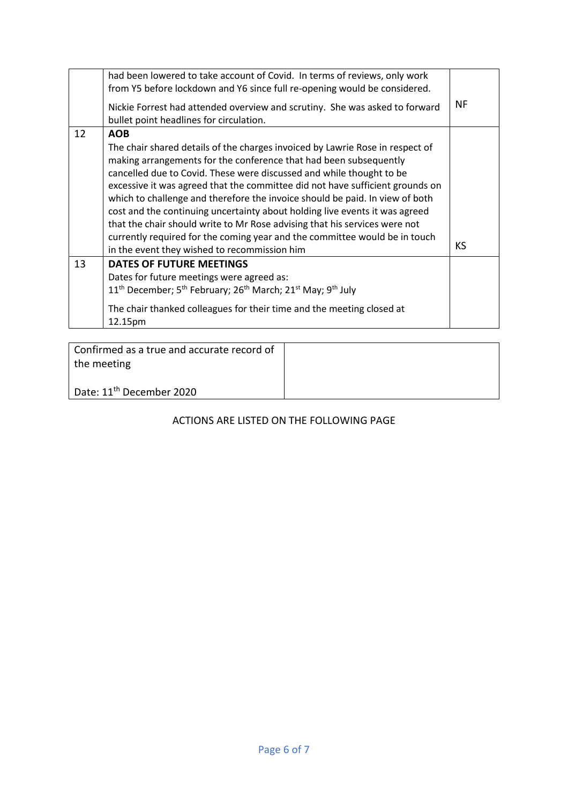|    | had been lowered to take account of Covid. In terms of reviews, only work<br>from Y5 before lockdown and Y6 since full re-opening would be considered.<br>Nickie Forrest had attended overview and scrutiny. She was asked to forward<br>bullet point headlines for circulation.                                                                                                                                                                                                                                                                                                                                                                                                                     | ΝF        |
|----|------------------------------------------------------------------------------------------------------------------------------------------------------------------------------------------------------------------------------------------------------------------------------------------------------------------------------------------------------------------------------------------------------------------------------------------------------------------------------------------------------------------------------------------------------------------------------------------------------------------------------------------------------------------------------------------------------|-----------|
| 12 | <b>AOB</b><br>The chair shared details of the charges invoiced by Lawrie Rose in respect of<br>making arrangements for the conference that had been subsequently<br>cancelled due to Covid. These were discussed and while thought to be<br>excessive it was agreed that the committee did not have sufficient grounds on<br>which to challenge and therefore the invoice should be paid. In view of both<br>cost and the continuing uncertainty about holding live events it was agreed<br>that the chair should write to Mr Rose advising that his services were not<br>currently required for the coming year and the committee would be in touch<br>in the event they wished to recommission him | <b>KS</b> |
| 13 | <b>DATES OF FUTURE MEETINGS</b><br>Dates for future meetings were agreed as:<br>11 <sup>th</sup> December; 5 <sup>th</sup> February; 26 <sup>th</sup> March; 21 <sup>st</sup> May; 9 <sup>th</sup> July<br>The chair thanked colleagues for their time and the meeting closed at<br>12.15pm                                                                                                                                                                                                                                                                                                                                                                                                          |           |

| Confirmed as a true and accurate record of<br>the meeting |  |
|-----------------------------------------------------------|--|
| Date: 11 <sup>th</sup> December 2020                      |  |

## ACTIONS ARE LISTED ON THE FOLLOWING PAGE